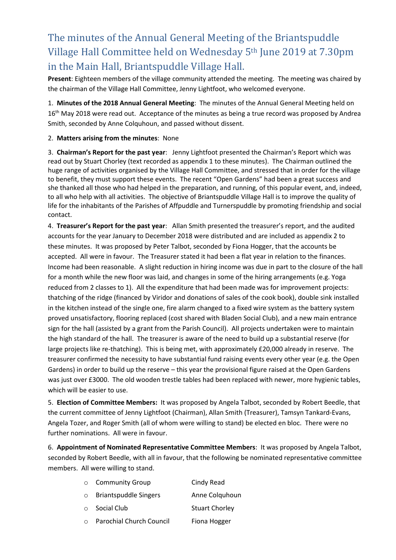# The minutes of the Annual General Meeting of the Briantspuddle Village Hall Committee held on Wednesday 5th June 2019 at 7.30pm in the Main Hall, Briantspuddle Village Hall.

**Present**: Eighteen members of the village community attended the meeting. The meeting was chaired by the chairman of the Village Hall Committee, Jenny Lightfoot, who welcomed everyone.

1. **Minutes of the 2018 Annual General Meeting**: The minutes of the Annual General Meeting held on 16<sup>th</sup> May 2018 were read out. Acceptance of the minutes as being a true record was proposed by Andrea Smith, seconded by Anne Colquhoun, and passed without dissent.

2. **Matters arising from the minutes**: None

3. **Chairman's Report for the past year**: Jenny Lightfoot presented the Chairman's Report which was read out by Stuart Chorley (text recorded as appendix 1 to these minutes). The Chairman outlined the huge range of activities organised by the Village Hall Committee, and stressed that in order for the village to benefit, they must support these events. The recent "Open Gardens" had been a great success and she thanked all those who had helped in the preparation, and running, of this popular event, and, indeed, to all who help with all activities. The objective of Briantspuddle Village Hall is to improve the quality of life for the inhabitants of the Parishes of Affpuddle and Turnerspuddle by promoting friendship and social contact.

4. **Treasurer's Report for the past year**: Allan Smith presented the treasurer's report, and the audited accounts for the year January to December 2018 were distributed and are included as appendix 2 to these minutes. It was proposed by Peter Talbot, seconded by Fiona Hogger, that the accounts be accepted. All were in favour. The Treasurer stated it had been a flat year in relation to the finances. Income had been reasonable. A slight reduction in hiring income was due in part to the closure of the hall for a month while the new floor was laid, and changes in some of the hiring arrangements (e.g. Yoga reduced from 2 classes to 1). All the expenditure that had been made was for improvement projects: thatching of the ridge (financed by Viridor and donations of sales of the cook book), double sink installed in the kitchen instead of the single one, fire alarm changed to a fixed wire system as the battery system proved unsatisfactory, flooring replaced (cost shared with Bladen Social Club), and a new main entrance sign for the hall (assisted by a grant from the Parish Council). All projects undertaken were to maintain the high standard of the hall. The treasurer is aware of the need to build up a substantial reserve (for large projects like re-thatching). This is being met, with approximately £20,000 already in reserve. The treasurer confirmed the necessity to have substantial fund raising events every other year (e.g. the Open Gardens) in order to build up the reserve – this year the provisional figure raised at the Open Gardens was just over £3000. The old wooden trestle tables had been replaced with newer, more hygienic tables, which will be easier to use.

5. **Election of Committee Members:** It was proposed by Angela Talbot, seconded by Robert Beedle, that the current committee of Jenny Lightfoot (Chairman), Allan Smith (Treasurer), Tamsyn Tankard-Evans, Angela Tozer, and Roger Smith (all of whom were willing to stand) be elected en bloc. There were no further nominations. All were in favour.

6. **Appointment of Nominated Representative Committee Members**: It was proposed by Angela Talbot, seconded by Robert Beedle, with all in favour, that the following be nominated representative committee members. All were willing to stand.

|         | ○ Community Group               | Cindy Read            |
|---------|---------------------------------|-----------------------|
|         | $\circ$ Briantspuddle Singers   | Anne Colquhoun        |
|         | $\circ$ Social Club             | <b>Stuart Chorley</b> |
| $\circ$ | <b>Parochial Church Council</b> | Fiona Hogger          |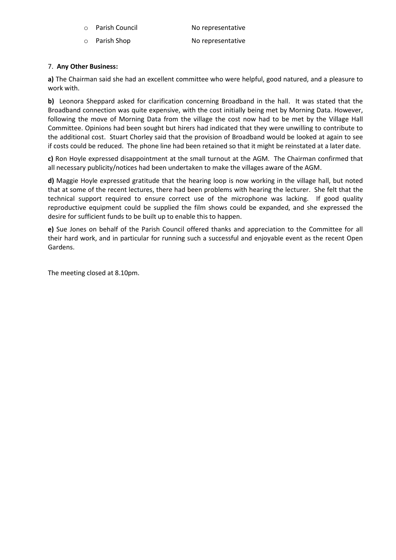- Parish Council No representative
- o Parish Shop No representative

### 7. **Any Other Business:**

**a)** The Chairman said she had an excellent committee who were helpful, good natured, and a pleasure to work with.

**b)** Leonora Sheppard asked for clarification concerning Broadband in the hall. It was stated that the Broadband connection was quite expensive, with the cost initially being met by Morning Data. However, following the move of Morning Data from the village the cost now had to be met by the Village Hall Committee. Opinions had been sought but hirers had indicated that they were unwilling to contribute to the additional cost. Stuart Chorley said that the provision of Broadband would be looked at again to see if costs could be reduced. The phone line had been retained so that it might be reinstated at a later date.

**c)** Ron Hoyle expressed disappointment at the small turnout at the AGM. The Chairman confirmed that all necessary publicity/notices had been undertaken to make the villages aware of the AGM.

**d)** Maggie Hoyle expressed gratitude that the hearing loop is now working in the village hall, but noted that at some of the recent lectures, there had been problems with hearing the lecturer. She felt that the technical support required to ensure correct use of the microphone was lacking. If good quality reproductive equipment could be supplied the film shows could be expanded, and she expressed the desire for sufficient funds to be built up to enable this to happen.

**e)** Sue Jones on behalf of the Parish Council offered thanks and appreciation to the Committee for all their hard work, and in particular for running such a successful and enjoyable event as the recent Open Gardens.

The meeting closed at 8.10pm.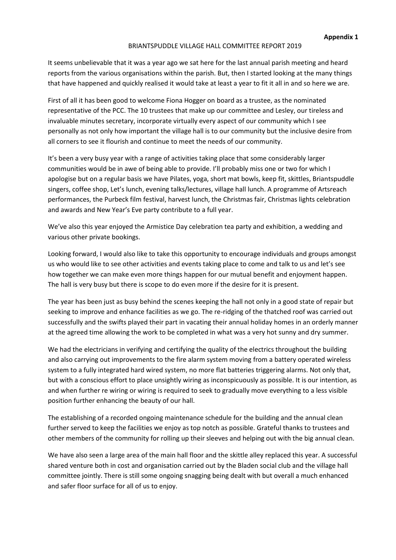#### BRIANTSPUDDLE VILLAGE HALL COMMITTEE REPORT 2019

It seems unbelievable that it was a year ago we sat here for the last annual parish meeting and heard reports from the various organisations within the parish. But, then I started looking at the many things that have happened and quickly realised it would take at least a year to fit it all in and so here we are.

First of all it has been good to welcome Fiona Hogger on board as a trustee, as the nominated representative of the PCC. The 10 trustees that make up our committee and Lesley, our tireless and invaluable minutes secretary, incorporate virtually every aspect of our community which I see personally as not only how important the village hall is to our community but the inclusive desire from all corners to see it flourish and continue to meet the needs of our community.

It's been a very busy year with a range of activities taking place that some considerably larger communities would be in awe of being able to provide. I'll probably miss one or two for which I apologise but on a regular basis we have Pilates, yoga, short mat bowls, keep fit, skittles, Briantspuddle singers, coffee shop, Let's lunch, evening talks/lectures, village hall lunch. A programme of Artsreach performances, the Purbeck film festival, harvest lunch, the Christmas fair, Christmas lights celebration and awards and New Year's Eve party contribute to a full year.

We've also this year enjoyed the Armistice Day celebration tea party and exhibition, a wedding and various other private bookings.

Looking forward, I would also like to take this opportunity to encourage individuals and groups amongst us who would like to see other activities and events taking place to come and talk to us and let's see how together we can make even more things happen for our mutual benefit and enjoyment happen. The hall is very busy but there is scope to do even more if the desire for it is present.

The year has been just as busy behind the scenes keeping the hall not only in a good state of repair but seeking to improve and enhance facilities as we go. The re-ridging of the thatched roof was carried out successfully and the swifts played their part in vacating their annual holiday homes in an orderly manner at the agreed time allowing the work to be completed in what was a very hot sunny and dry summer.

We had the electricians in verifying and certifying the quality of the electrics throughout the building and also carrying out improvements to the fire alarm system moving from a battery operated wireless system to a fully integrated hard wired system, no more flat batteries triggering alarms. Not only that, but with a conscious effort to place unsightly wiring as inconspicuously as possible. It is our intention, as and when further re wiring or wiring is required to seek to gradually move everything to a less visible position further enhancing the beauty of our hall.

The establishing of a recorded ongoing maintenance schedule for the building and the annual clean further served to keep the facilities we enjoy as top notch as possible. Grateful thanks to trustees and other members of the community for rolling up their sleeves and helping out with the big annual clean.

We have also seen a large area of the main hall floor and the skittle alley replaced this year. A successful shared venture both in cost and organisation carried out by the Bladen social club and the village hall committee jointly. There is still some ongoing snagging being dealt with but overall a much enhanced and safer floor surface for all of us to enjoy.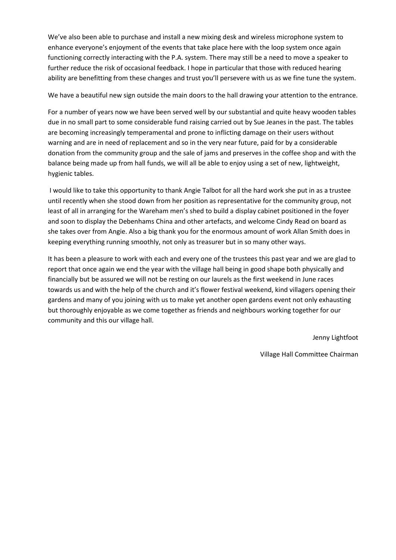We've also been able to purchase and install a new mixing desk and wireless microphone system to enhance everyone's enjoyment of the events that take place here with the loop system once again functioning correctly interacting with the P.A. system. There may still be a need to move a speaker to further reduce the risk of occasional feedback. I hope in particular that those with reduced hearing ability are benefitting from these changes and trust you'll persevere with us as we fine tune the system.

We have a beautiful new sign outside the main doors to the hall drawing your attention to the entrance.

For a number of years now we have been served well by our substantial and quite heavy wooden tables due in no small part to some considerable fund raising carried out by Sue Jeanes in the past. The tables are becoming increasingly temperamental and prone to inflicting damage on their users without warning and are in need of replacement and so in the very near future, paid for by a considerable donation from the community group and the sale of jams and preserves in the coffee shop and with the balance being made up from hall funds, we will all be able to enjoy using a set of new, lightweight, hygienic tables.

I would like to take this opportunity to thank Angie Talbot for all the hard work she put in as a trustee until recently when she stood down from her position as representative for the community group, not least of all in arranging for the Wareham men's shed to build a display cabinet positioned in the foyer and soon to display the Debenhams China and other artefacts, and welcome Cindy Read on board as she takes over from Angie. Also a big thank you for the enormous amount of work Allan Smith does in keeping everything running smoothly, not only as treasurer but in so many other ways.

It has been a pleasure to work with each and every one of the trustees this past year and we are glad to report that once again we end the year with the village hall being in good shape both physically and financially but be assured we will not be resting on our laurels as the first weekend in June races towards us and with the help of the church and it's flower festival weekend, kind villagers opening their gardens and many of you joining with us to make yet another open gardens event not only exhausting but thoroughly enjoyable as we come together as friends and neighbours working together for our community and this our village hall.

Jenny Lightfoot

Village Hall Committee Chairman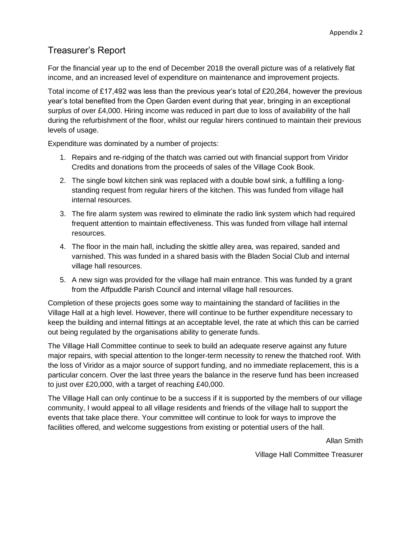## Treasurer's Report

For the financial year up to the end of December 2018 the overall picture was of a relatively flat income, and an increased level of expenditure on maintenance and improvement projects.

Total income of £17,492 was less than the previous year's total of £20,264, however the previous year's total benefited from the Open Garden event during that year, bringing in an exceptional surplus of over £4,000. Hiring income was reduced in part due to loss of availability of the hall during the refurbishment of the floor, whilst our regular hirers continued to maintain their previous levels of usage.

Expenditure was dominated by a number of projects:

- 1. Repairs and re-ridging of the thatch was carried out with financial support from Viridor Credits and donations from the proceeds of sales of the Village Cook Book.
- 2. The single bowl kitchen sink was replaced with a double bowl sink, a fulfilling a longstanding request from regular hirers of the kitchen. This was funded from village hall internal resources.
- 3. The fire alarm system was rewired to eliminate the radio link system which had required frequent attention to maintain effectiveness. This was funded from village hall internal resources.
- 4. The floor in the main hall, including the skittle alley area, was repaired, sanded and varnished. This was funded in a shared basis with the Bladen Social Club and internal village hall resources.
- 5. A new sign was provided for the village hall main entrance. This was funded by a grant from the Affpuddle Parish Council and internal village hall resources.

Completion of these projects goes some way to maintaining the standard of facilities in the Village Hall at a high level. However, there will continue to be further expenditure necessary to keep the building and internal fittings at an acceptable level, the rate at which this can be carried out being regulated by the organisations ability to generate funds.

The Village Hall Committee continue to seek to build an adequate reserve against any future major repairs, with special attention to the longer-term necessity to renew the thatched roof. With the loss of Viridor as a major source of support funding, and no immediate replacement, this is a particular concern. Over the last three years the balance in the reserve fund has been increased to just over £20,000, with a target of reaching £40,000.

The Village Hall can only continue to be a success if it is supported by the members of our village community, I would appeal to all village residents and friends of the village hall to support the events that take place there. Your committee will continue to look for ways to improve the facilities offered, and welcome suggestions from existing or potential users of the hall.

Allan Smith

Village Hall Committee Treasurer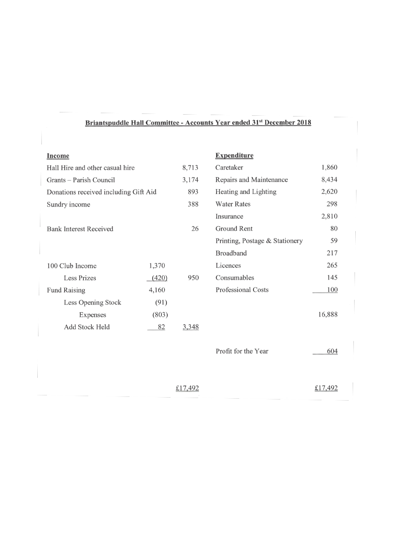### Briantspuddle Hall Committee - Accounts Year ended 31<sup>st</sup> December 2018

| <b>Income</b>                         |       |       | <b>Expenditure</b>             |        |
|---------------------------------------|-------|-------|--------------------------------|--------|
| Hall Hire and other casual hire       |       | 8,713 | Caretaker                      | 1,860  |
| Grants – Parish Council               |       | 3,174 | Repairs and Maintenance        | 8,434  |
| Donations received including Gift Aid |       | 893   | Heating and Lighting           | 2,620  |
| Sundry income                         |       | 388   | <b>Water Rates</b>             | 298    |
|                                       |       |       | Insurance                      | 2,810  |
| <b>Bank Interest Received</b>         |       | 26    | Ground Rent                    | 80     |
|                                       |       |       | Printing, Postage & Stationery | 59     |
|                                       |       |       | <b>Broadband</b>               | 217    |
| 100 Club Income                       | 1,370 |       | Licences                       | 265    |
| Less Prizes                           | (420) | 950   | Consumables                    | 145    |
| <b>Fund Raising</b>                   | 4,160 |       | <b>Professional Costs</b>      | 100    |
| Less Opening Stock                    | (91)  |       |                                |        |
| Expenses                              | (803) |       |                                | 16,888 |
| Add Stock Held                        | 82    | 3,348 |                                |        |
|                                       |       |       |                                |        |

| Profit for the Year | 604 |
|---------------------|-----|
|---------------------|-----|

£17,492

£17,492